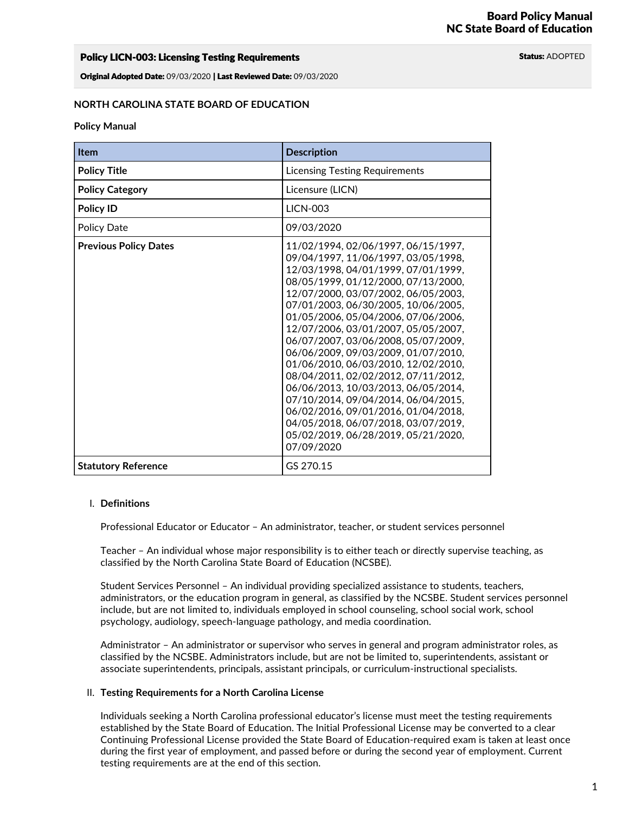## Policy LICN-003: Licensing Testing Requirements **Status: ADOPTED** Status: ADOPTED

Original Adopted Date: 09/03/2020 | Last Reviewed Date: 09/03/2020

### **NORTH CAROLINA STATE BOARD OF EDUCATION**

#### **Policy Manual**

| <b>Item</b>                  | <b>Description</b>                                                                                                                                                                                                                                                                                                                                                                                                                                                                                                                                                                                                                                                                                |
|------------------------------|---------------------------------------------------------------------------------------------------------------------------------------------------------------------------------------------------------------------------------------------------------------------------------------------------------------------------------------------------------------------------------------------------------------------------------------------------------------------------------------------------------------------------------------------------------------------------------------------------------------------------------------------------------------------------------------------------|
| <b>Policy Title</b>          | <b>Licensing Testing Requirements</b>                                                                                                                                                                                                                                                                                                                                                                                                                                                                                                                                                                                                                                                             |
| <b>Policy Category</b>       | Licensure (LICN)                                                                                                                                                                                                                                                                                                                                                                                                                                                                                                                                                                                                                                                                                  |
| Policy ID                    | <b>LICN-003</b>                                                                                                                                                                                                                                                                                                                                                                                                                                                                                                                                                                                                                                                                                   |
| <b>Policy Date</b>           | 09/03/2020                                                                                                                                                                                                                                                                                                                                                                                                                                                                                                                                                                                                                                                                                        |
| <b>Previous Policy Dates</b> | 11/02/1994, 02/06/1997, 06/15/1997,<br>09/04/1997, 11/06/1997, 03/05/1998,<br>12/03/1998, 04/01/1999, 07/01/1999,<br>08/05/1999, 01/12/2000, 07/13/2000,<br>12/07/2000, 03/07/2002, 06/05/2003,<br>07/01/2003, 06/30/2005, 10/06/2005,<br>01/05/2006, 05/04/2006, 07/06/2006,<br>12/07/2006, 03/01/2007, 05/05/2007,<br>06/07/2007, 03/06/2008, 05/07/2009,<br>06/06/2009, 09/03/2009, 01/07/2010,<br>01/06/2010, 06/03/2010, 12/02/2010,<br>08/04/2011, 02/02/2012, 07/11/2012,<br>06/06/2013, 10/03/2013, 06/05/2014,<br>07/10/2014, 09/04/2014, 06/04/2015,<br>06/02/2016, 09/01/2016, 01/04/2018,<br>04/05/2018, 06/07/2018, 03/07/2019,<br>05/02/2019, 06/28/2019, 05/21/2020,<br>07/09/2020 |
| <b>Statutory Reference</b>   | GS 270.15                                                                                                                                                                                                                                                                                                                                                                                                                                                                                                                                                                                                                                                                                         |

#### I. **Definitions**

Professional Educator or Educator – An administrator, teacher, or student services personnel

Teacher – An individual whose major responsibility is to either teach or directly supervise teaching, as classified by the North Carolina State Board of Education (NCSBE).

Student Services Personnel – An individual providing specialized assistance to students, teachers,<br>administrators, or the education program in general, as classified by the NCSBE. Student services personnel include, but are not limited to, individuals employed in school counseling, school social work, school psychology, audiology, speech-language pathology, and media coordination.

Administrator – An administrator or supervisor who serves in general and program administrator roles, as classified by the NCSBE. Administrators include, but are not be limited to, superintendents, assistant or associate superintendents, principals, assistant principals, or curriculum-instructional specialists.

### II. **Testing Requirements for a North Carolina License**

Individuals seeking a North Carolina professional educator's license must meet the testing requirements established by the State Board of Education. The Initial Professional License may be converted to a clear Continuing Professional License provided the State Board of Education-required exam is taken at least once during the first year of employment, and passed before or during the second year of employment. Current testing requirements are at the end of this section.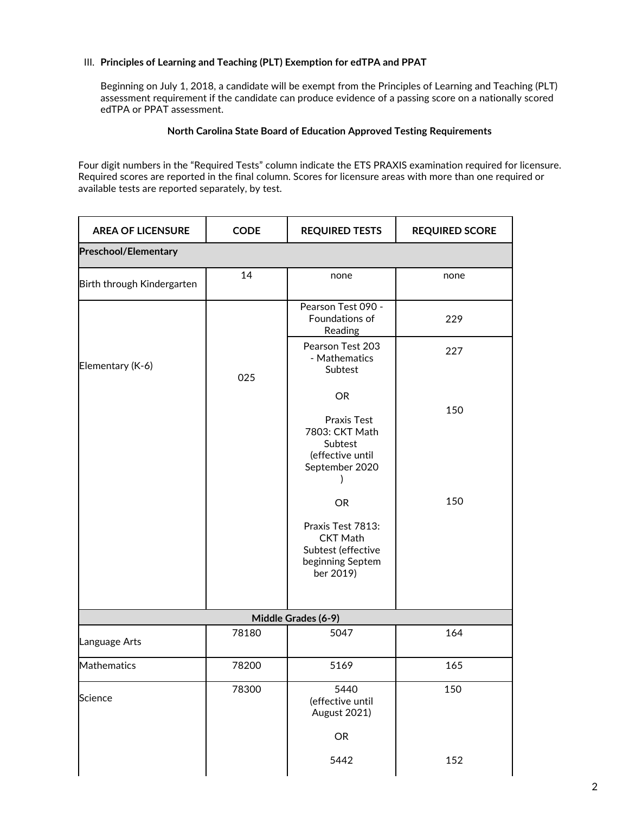## III. **Principles of Learning and Teaching (PLT) Exemption for edTPA and PPAT**

Beginning on July 1, 2018, a candidate will be exempt from the Principles of Learning and Teaching (PLT) assessment requirement if the candidate can produce evidence of a passing score on a nationally scored edTPA or PPAT assessment.

## **North Carolina State Board of Education Approved Testing Requirements**

Four digit numbers in the "Required Tests" column indicate the ETS PRAXIS examination required for licensure.<br>Required scores are reported in the final column. Scores for licensure areas with more than one required or available tests are reported separately, by test.

| <b>AREA OF LICENSURE</b>    | <b>CODE</b> | <b>REQUIRED TESTS</b>                                                                                    | <b>REQUIRED SCORE</b> |  |  |
|-----------------------------|-------------|----------------------------------------------------------------------------------------------------------|-----------------------|--|--|
| <b>Preschool/Elementary</b> |             |                                                                                                          |                       |  |  |
| Birth through Kindergarten  | 14          | none                                                                                                     | none                  |  |  |
|                             |             | Pearson Test 090 -<br>Foundations of<br>Reading                                                          | 229                   |  |  |
| Elementary (K-6)            | 025         | Pearson Test 203<br>- Mathematics<br>Subtest                                                             | 227                   |  |  |
|                             |             | <b>OR</b><br>Praxis Test<br>7803: CKT Math<br>Subtest<br>(effective until<br>September 2020              | 150                   |  |  |
|                             |             | <b>OR</b><br>Praxis Test 7813:<br><b>CKT Math</b><br>Subtest (effective<br>beginning Septem<br>ber 2019) | 150                   |  |  |
|                             |             | Middle Grades (6-9)                                                                                      |                       |  |  |
| Language Arts               | 78180       | 5047                                                                                                     | 164                   |  |  |
| Mathematics                 | 78200       | 5169                                                                                                     | 165                   |  |  |
| Science                     | 78300       | 5440<br>(effective until<br><b>August 2021)</b><br>OR                                                    | 150                   |  |  |
|                             |             | 5442                                                                                                     | 152                   |  |  |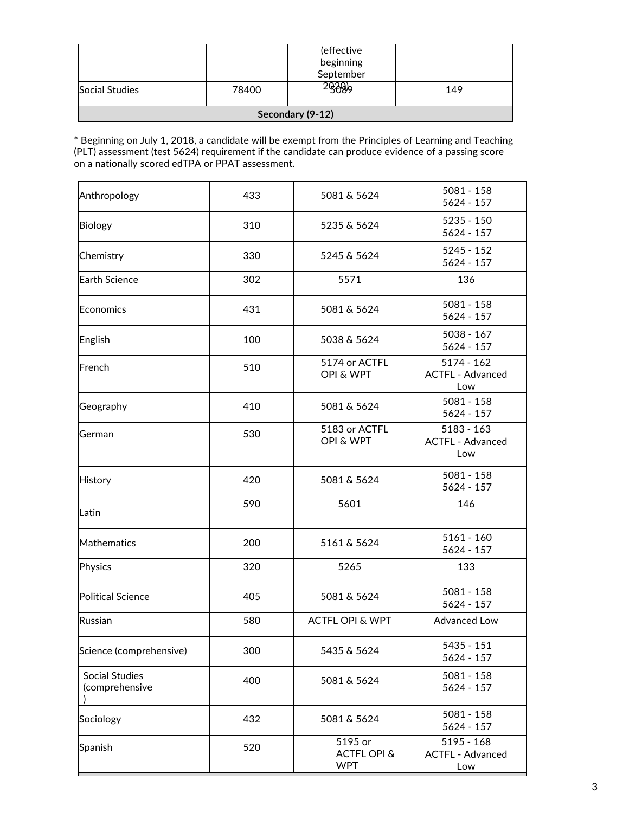|                       |       | (effective<br>beginning<br>September |     |
|-----------------------|-------|--------------------------------------|-----|
| <b>Social Studies</b> | 78400 | 9089                                 | 149 |
|                       |       | Secondary (9-12)                     |     |

\* Beginning on July 1, 2018, a candidate will be exempt from the Principles of Learning and Teaching (PLT) assessment (test 5624) requirement if the candidate can produce evidence of a passing score on a nationally scored edTPA or PPAT assessment.

| Anthropology                            | 433 | 5081 - 158<br>5081 & 5624<br>$5624 - 157$       |                                                |  |  |
|-----------------------------------------|-----|-------------------------------------------------|------------------------------------------------|--|--|
| <b>Biology</b>                          | 310 | 5235 & 5624                                     | $5235 - 150$<br>$5624 - 157$                   |  |  |
| Chemistry                               | 330 | 5245 & 5624                                     | 5245 - 152<br>$5624 - 157$                     |  |  |
| <b>Earth Science</b>                    | 302 | 5571                                            | 136                                            |  |  |
| Economics                               | 431 | 5081 & 5624                                     | $5081 - 158$<br>$5624 - 157$                   |  |  |
| English                                 | 100 | 5038 & 5624                                     | $5038 - 167$<br>$5624 - 157$                   |  |  |
| French                                  | 510 | 5174 or ACTFL<br>OPI & WPT                      | $5174 - 162$<br><b>ACTFL - Advanced</b><br>Low |  |  |
| Geography                               | 410 | 5081 & 5624                                     | $5081 - 158$<br>$5624 - 157$                   |  |  |
| German                                  | 530 | 5183 or ACTFL<br>OPI & WPT                      | $5183 - 163$<br><b>ACTFL - Advanced</b><br>Low |  |  |
| <b>History</b>                          | 420 | 5081 & 5624                                     | $5081 - 158$<br>$5624 - 157$                   |  |  |
| Latin                                   | 590 | 5601                                            | 146                                            |  |  |
| Mathematics                             | 200 | 5161 & 5624                                     | $5161 - 160$<br>5624 - 157                     |  |  |
| Physics                                 | 320 | 5265                                            | 133                                            |  |  |
| <b>Political Science</b>                | 405 | 5081 & 5624                                     | $5081 - 158$<br>$5624 - 157$                   |  |  |
| Russian                                 | 580 | <b>ACTFL OPI &amp; WPT</b>                      | <b>Advanced Low</b>                            |  |  |
| Science (comprehensive)                 | 300 | 5435 & 5624                                     | 5435 - 151<br>5624 - 157                       |  |  |
| <b>Social Studies</b><br>(comprehensive | 400 | 5081 & 5624                                     | $5081 - 158$<br>$5624 - 157$                   |  |  |
| Sociology                               | 432 | 5081 & 5624                                     | $5081 - 158$<br>5624 - 157                     |  |  |
| Spanish                                 | 520 | 5195 or<br><b>ACTFL OPI &amp;</b><br><b>WPT</b> | $5195 - 168$<br><b>ACTFL - Advanced</b><br>Low |  |  |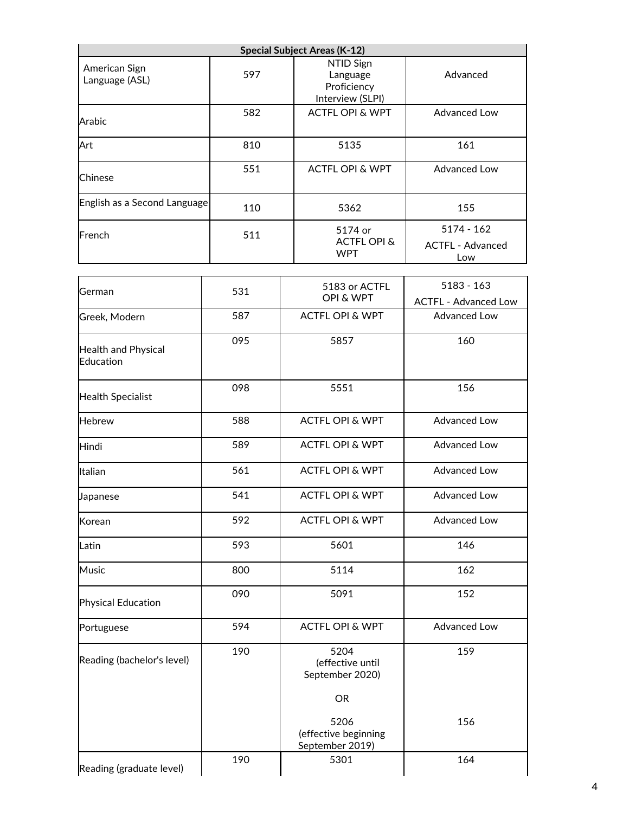|                                  |     | <b>Special Subject Areas (K-12)</b>                      |                                                |  |  |
|----------------------------------|-----|----------------------------------------------------------|------------------------------------------------|--|--|
| American Sign<br>Language (ASL)  | 597 | NTID Sign<br>Language<br>Proficiency<br>Interview (SLPI) | Advanced                                       |  |  |
| Arabic                           | 582 | <b>ACTFL OPI &amp; WPT</b>                               | <b>Advanced Low</b>                            |  |  |
| Art                              | 810 | 5135                                                     | 161                                            |  |  |
| Chinese                          | 551 | <b>ACTFL OPI &amp; WPT</b>                               | <b>Advanced Low</b>                            |  |  |
| English as a Second Language     | 110 | 5362                                                     | 155                                            |  |  |
| French                           | 511 | 5174 or<br><b>ACTFL OPI &amp;</b><br><b>WPT</b>          | $5174 - 162$<br><b>ACTFL - Advanced</b><br>Low |  |  |
| German                           | 531 | 5183 or ACTFL<br><b>OPI &amp; WPT</b>                    | $5183 - 163$<br><b>ACTFL - Advanced Low</b>    |  |  |
| Greek, Modern                    | 587 | <b>ACTFL OPI &amp; WPT</b>                               | <b>Advanced Low</b>                            |  |  |
| Health and Physical<br>Education | 095 | 5857                                                     | 160                                            |  |  |
| <b>Health Specialist</b>         | 098 | 5551                                                     | 156                                            |  |  |
| <b>Hebrew</b>                    | 588 | <b>ACTFL OPI &amp; WPT</b>                               | Advanced Low                                   |  |  |
| Hindi                            | 589 | <b>ACTFL OPI &amp; WPT</b>                               | Advanced Low                                   |  |  |
| Italian                          | 561 | <b>ACTFL OPI &amp; WPT</b>                               | Advanced Low                                   |  |  |
| Japanese                         | 541 | <b>ACTFL OPI &amp; WPT</b>                               | <b>Advanced Low</b>                            |  |  |
| Korean                           | 592 | <b>ACTFL OPI &amp; WPT</b>                               | <b>Advanced Low</b>                            |  |  |
| Latin                            | 593 | 5601                                                     | 146                                            |  |  |
| <b>Music</b>                     | 800 | 5114                                                     | 162                                            |  |  |
| Physical Education               | 090 | 5091                                                     | 152                                            |  |  |
| Portuguese                       | 594 | <b>ACTFL OPI &amp; WPT</b>                               | <b>Advanced Low</b>                            |  |  |
| Reading (bachelor's level)       | 190 | 5204<br>(effective until<br>September 2020)              | 159                                            |  |  |
|                                  |     | <b>OR</b>                                                |                                                |  |  |
|                                  |     | 5206<br>(effective beginning<br>September 2019)          | 156                                            |  |  |
| Reading (graduate level)         | 190 | 5301                                                     | 164                                            |  |  |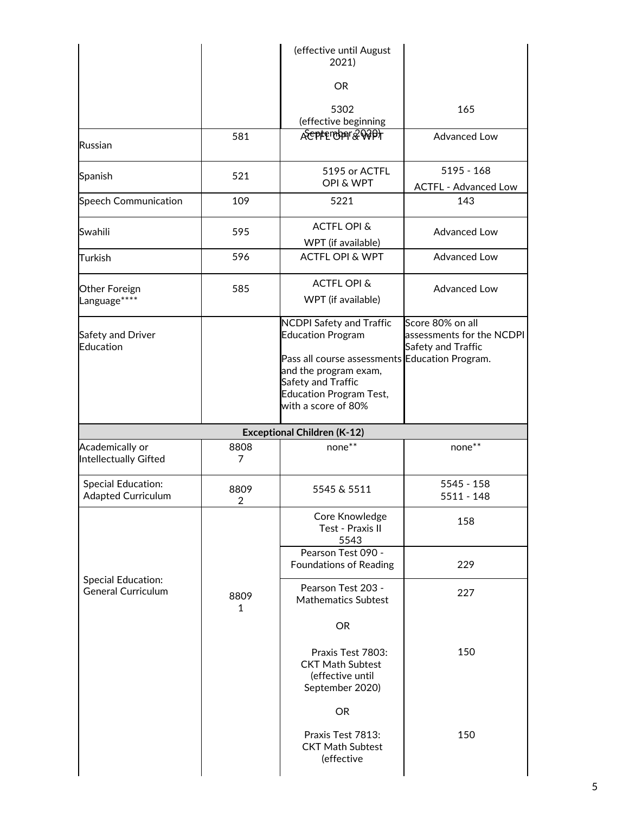|                                                        |                        | (effective until August<br>2021)                                                                                                                                                                                      |                                                                     |
|--------------------------------------------------------|------------------------|-----------------------------------------------------------------------------------------------------------------------------------------------------------------------------------------------------------------------|---------------------------------------------------------------------|
|                                                        |                        | <b>OR</b>                                                                                                                                                                                                             |                                                                     |
|                                                        |                        | 5302<br>(effective beginning                                                                                                                                                                                          | 165                                                                 |
| Russian                                                | 581                    | Aceptenber&00Pt                                                                                                                                                                                                       | <b>Advanced Low</b>                                                 |
| Spanish                                                | 521                    | 5195 or ACTFL<br><b>OPI &amp; WPT</b>                                                                                                                                                                                 | $5195 - 168$<br><b>ACTFL - Advanced Low</b>                         |
| <b>Speech Communication</b>                            | 109                    | 5221                                                                                                                                                                                                                  | 143                                                                 |
| Swahili                                                | 595                    | <b>ACTFL OPI &amp;</b><br>WPT (if available)                                                                                                                                                                          | <b>Advanced Low</b>                                                 |
| Turkish                                                | 596                    | <b>ACTFL OPI &amp; WPT</b>                                                                                                                                                                                            | <b>Advanced Low</b>                                                 |
| Other Foreign<br>Language****                          | 585                    | <b>ACTFL OPI &amp;</b><br>WPT (if available)                                                                                                                                                                          | <b>Advanced Low</b>                                                 |
| Safety and Driver<br>Education                         |                        | <b>NCDPI Safety and Traffic</b><br><b>Education Program</b><br>Pass all course assessments Education Program.<br>and the program exam,<br>Safety and Traffic<br><b>Education Program Test,</b><br>with a score of 80% | Score 80% on all<br>assessments for the NCDPI<br>Safety and Traffic |
|                                                        |                        | <b>Exceptional Children (K-12)</b>                                                                                                                                                                                    |                                                                     |
| Academically or<br><b>Intellectually Gifted</b>        | 8808<br>7              | none**                                                                                                                                                                                                                | none**                                                              |
| <b>Special Education:</b><br><b>Adapted Curriculum</b> | 8809<br>$\overline{2}$ | 5545 & 5511                                                                                                                                                                                                           | 5545 - 158<br>5511 - 148                                            |
|                                                        |                        | Core Knowledge<br>Test - Praxis II<br>5543                                                                                                                                                                            | 158                                                                 |
|                                                        |                        | Pearson Test 090 -<br><b>Foundations of Reading</b>                                                                                                                                                                   | 229                                                                 |
| <b>Special Education:</b><br><b>General Curriculum</b> | 8809<br>1              | Pearson Test 203 -<br><b>Mathematics Subtest</b>                                                                                                                                                                      | 227                                                                 |
|                                                        |                        | <b>OR</b>                                                                                                                                                                                                             |                                                                     |
|                                                        |                        | Praxis Test 7803:<br><b>CKT Math Subtest</b><br>(effective until<br>September 2020)                                                                                                                                   | 150                                                                 |
|                                                        |                        | OR                                                                                                                                                                                                                    |                                                                     |
|                                                        |                        | Praxis Test 7813:<br><b>CKT Math Subtest</b><br>(effective                                                                                                                                                            | 150                                                                 |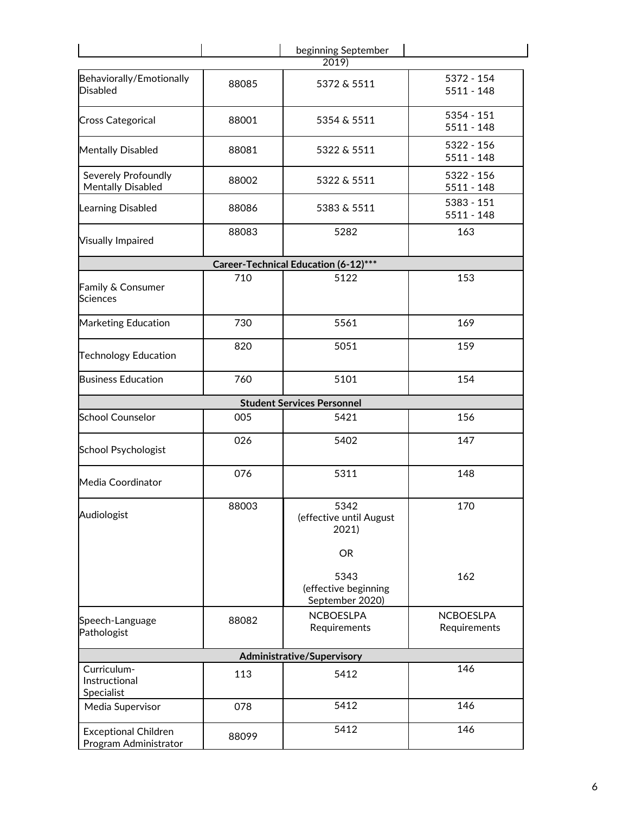|                                                      |                                                                                                                                                                                                                                                                                                                                                                                                                                                                  | beginning September |                                  |  |
|------------------------------------------------------|------------------------------------------------------------------------------------------------------------------------------------------------------------------------------------------------------------------------------------------------------------------------------------------------------------------------------------------------------------------------------------------------------------------------------------------------------------------|---------------------|----------------------------------|--|
| Behaviorally/Emotionally<br><b>Disabled</b>          | 88085                                                                                                                                                                                                                                                                                                                                                                                                                                                            | 5372 & 5511         | 5372 - 154<br>$5511 - 148$       |  |
| <b>Cross Categorical</b>                             | 88001                                                                                                                                                                                                                                                                                                                                                                                                                                                            | 5354 & 5511         | $5354 - 151$<br>$5511 - 148$     |  |
| <b>Mentally Disabled</b>                             | 88081                                                                                                                                                                                                                                                                                                                                                                                                                                                            | 5322 & 5511         | $5322 - 156$<br>$5511 - 148$     |  |
| Severely Profoundly<br><b>Mentally Disabled</b>      | 88002                                                                                                                                                                                                                                                                                                                                                                                                                                                            | 5322 & 5511         | 5322 - 156<br>5511 - 148         |  |
| <b>Learning Disabled</b>                             | 2019<br>5383 - 151<br>5383 & 5511<br>88086<br>5282<br>88083<br>Career-Technical Education (6-12)***<br>710<br>5122<br>5561<br>730<br>820<br>5051<br>760<br>5101<br><b>Student Services Personnel</b><br>005<br>5421<br>026<br>5402<br>076<br>5311<br>88003<br>5342<br>(effective until August<br>2021)<br><b>OR</b><br>5343<br>(effective beginning<br>September 2020)<br><b>NCBOESLPA</b><br>88082<br>Requirements<br>Administrative/Supervisory<br>113<br>5412 |                     |                                  |  |
| <b>Visually Impaired</b>                             |                                                                                                                                                                                                                                                                                                                                                                                                                                                                  |                     | 163                              |  |
|                                                      |                                                                                                                                                                                                                                                                                                                                                                                                                                                                  |                     |                                  |  |
| Family & Consumer<br><b>Sciences</b>                 |                                                                                                                                                                                                                                                                                                                                                                                                                                                                  |                     | 153                              |  |
| <b>Marketing Education</b>                           |                                                                                                                                                                                                                                                                                                                                                                                                                                                                  |                     | 169                              |  |
| <b>Technology Education</b>                          |                                                                                                                                                                                                                                                                                                                                                                                                                                                                  |                     | 159                              |  |
| <b>Business Education</b>                            |                                                                                                                                                                                                                                                                                                                                                                                                                                                                  |                     | 154                              |  |
|                                                      |                                                                                                                                                                                                                                                                                                                                                                                                                                                                  |                     |                                  |  |
| <b>School Counselor</b>                              |                                                                                                                                                                                                                                                                                                                                                                                                                                                                  |                     | 156                              |  |
| <b>School Psychologist</b>                           |                                                                                                                                                                                                                                                                                                                                                                                                                                                                  |                     | 147                              |  |
| Media Coordinator                                    |                                                                                                                                                                                                                                                                                                                                                                                                                                                                  |                     | 148                              |  |
| Audiologist                                          |                                                                                                                                                                                                                                                                                                                                                                                                                                                                  |                     | 170                              |  |
|                                                      |                                                                                                                                                                                                                                                                                                                                                                                                                                                                  |                     |                                  |  |
|                                                      |                                                                                                                                                                                                                                                                                                                                                                                                                                                                  |                     | 162                              |  |
| Speech-Language<br>Pathologist                       |                                                                                                                                                                                                                                                                                                                                                                                                                                                                  |                     | <b>NCBOESLPA</b><br>Requirements |  |
|                                                      |                                                                                                                                                                                                                                                                                                                                                                                                                                                                  |                     |                                  |  |
| Curriculum-<br>Instructional<br>Specialist           |                                                                                                                                                                                                                                                                                                                                                                                                                                                                  |                     | 146                              |  |
| Media Supervisor                                     | 078                                                                                                                                                                                                                                                                                                                                                                                                                                                              | 5412                | 146                              |  |
| <b>Exceptional Children</b><br>Program Administrator | 88099                                                                                                                                                                                                                                                                                                                                                                                                                                                            | 5412                | 146                              |  |